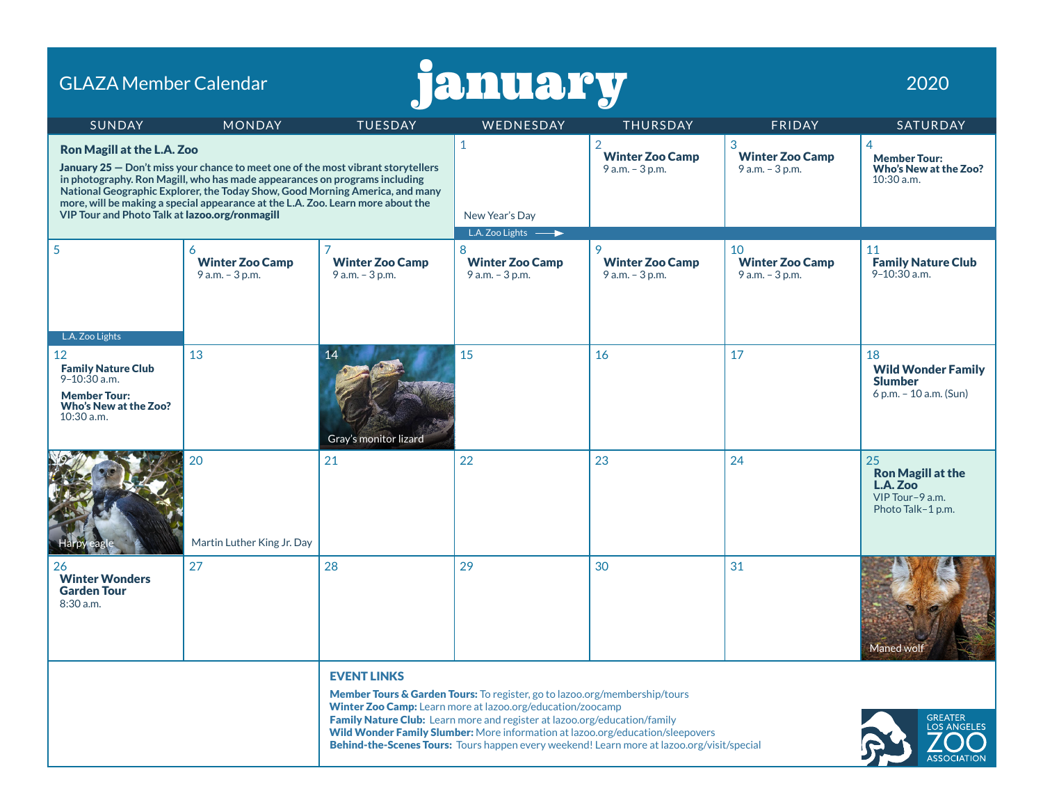| january<br><b>GLAZA Member Calendar</b>                                                                                                                                                                                                                                                                                                                                                                                  |                                                   |                                              |                                                                                                                                                                                                                                                                                                                                                                                                       |                                                             |                                                 |                                                                                    |  |
|--------------------------------------------------------------------------------------------------------------------------------------------------------------------------------------------------------------------------------------------------------------------------------------------------------------------------------------------------------------------------------------------------------------------------|---------------------------------------------------|----------------------------------------------|-------------------------------------------------------------------------------------------------------------------------------------------------------------------------------------------------------------------------------------------------------------------------------------------------------------------------------------------------------------------------------------------------------|-------------------------------------------------------------|-------------------------------------------------|------------------------------------------------------------------------------------|--|
| <b>SUNDAY</b>                                                                                                                                                                                                                                                                                                                                                                                                            | <b>MONDAY</b>                                     | <b>TUESDAY</b>                               | WEDNESDAY                                                                                                                                                                                                                                                                                                                                                                                             | <b>THURSDAY</b>                                             | FRIDAY                                          | SATURDAY                                                                           |  |
| <b>Ron Magill at the L.A. Zoo</b><br>January 25 - Don't miss your chance to meet one of the most vibrant storytellers<br>in photography. Ron Magill, who has made appearances on programs including<br>National Geographic Explorer, the Today Show, Good Morning America, and many<br>more, will be making a special appearance at the L.A. Zoo. Learn more about the<br>VIP Tour and Photo Talk at lazoo.org/ronmagill |                                                   |                                              | $\mathbf{1}$<br>New Year's Day                                                                                                                                                                                                                                                                                                                                                                        | $\overline{2}$<br><b>Winter Zoo Camp</b><br>9 a.m. - 3 p.m. | 3<br><b>Winter Zoo Camp</b><br>9 a.m. - 3 p.m.  | 4<br><b>Member Tour:</b><br>Who's New at the Zoo?<br>$10:30$ a.m.                  |  |
| 5<br>L.A. Zoo Lights                                                                                                                                                                                                                                                                                                                                                                                                     | 6<br><b>Winter Zoo Camp</b><br>$9$ a.m. $-3$ p.m. | <b>Winter Zoo Camp</b><br>$9$ a.m. $-3$ p.m. | L.A. Zoo Lights -<br>8<br><b>Winter Zoo Camp</b><br>9 a.m. - 3 p.m.                                                                                                                                                                                                                                                                                                                                   | 9<br><b>Winter Zoo Camp</b><br>$9 a.m. - 3 p.m.$            | 10<br><b>Winter Zoo Camp</b><br>9 a.m. - 3 p.m. | 11<br><b>Family Nature Club</b><br>$9 - 10:30$ a.m.                                |  |
| 12<br><b>Family Nature Club</b><br>$9 - 10:30$ a.m.<br><b>Member Tour:</b><br>Who's New at the Zoo?<br>$10:30$ a.m.                                                                                                                                                                                                                                                                                                      | 13                                                | 14<br>Gray's monitor lizard                  | 15                                                                                                                                                                                                                                                                                                                                                                                                    | 16                                                          | 17                                              | 18<br><b>Wild Wonder Family</b><br><b>Slumber</b><br>6 p.m. $-$ 10 a.m. (Sun)      |  |
|                                                                                                                                                                                                                                                                                                                                                                                                                          | 20<br>Martin Luther King Jr. Day                  | 21                                           | 22                                                                                                                                                                                                                                                                                                                                                                                                    | 23                                                          | 24                                              | 25<br><b>Ron Magill at the</b><br>L.A. Zoo<br>VIP Tour-9 a.m.<br>Photo Talk-1 p.m. |  |
| 26<br><b>Winter Wonders</b><br><b>Garden Tour</b><br>8:30 a.m.                                                                                                                                                                                                                                                                                                                                                           | 27                                                | 28                                           | 29                                                                                                                                                                                                                                                                                                                                                                                                    | 30                                                          | 31                                              | Maned wolf                                                                         |  |
|                                                                                                                                                                                                                                                                                                                                                                                                                          |                                                   | <b>EVENT LINKS</b>                           | Member Tours & Garden Tours: To register, go to lazoo.org/membership/tours<br>Winter Zoo Camp: Learn more at lazoo.org/education/zoocamp<br>Family Nature Club: Learn more and register at lazoo.org/education/family<br>Wild Wonder Family Slumber: More information at lazoo.org/education/sleepovers<br>Behind-the-Scenes Tours: Tours happen every weekend! Learn more at lazoo.org/visit/special |                                                             |                                                 | <b>GREATER</b><br><b>LOS ANGELES</b><br><b>ASSOCIATION</b>                         |  |